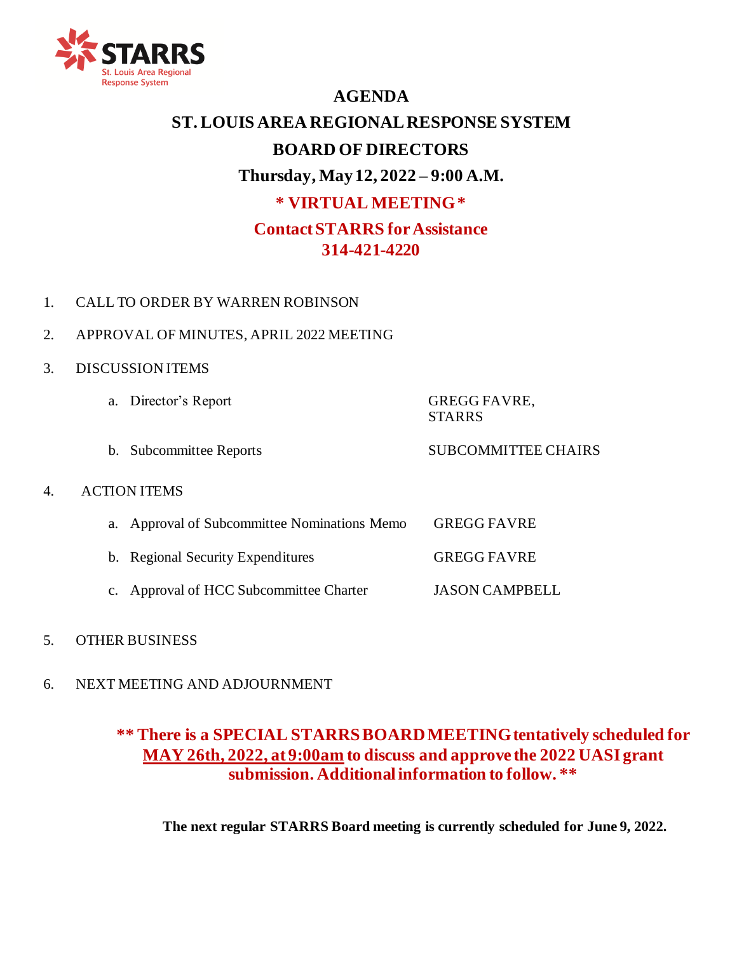

# **AGENDA**

# **ST. LOUIS AREA REGIONAL RESPONSE SYSTEM BOARD OF DIRECTORS Thursday, May 12, 2022 – 9:00 A.M. \* VIRTUAL MEETING \* Contact STARRS for Assistance 314-421-4220**

- 1. CALL TO ORDER BY WARREN ROBINSON
- 2. APPROVAL OF MINUTES, APRIL 2022 MEETING
- 3. DISCUSSION ITEMS
- a. Director's Report GREGG FAVRE, **STARRS** b. Subcommittee Reports SUBCOMMITTEE CHAIRS 4. ACTION ITEMS a. Approval of Subcommittee Nominations Memo GREGG FAVRE b. Regional Security Expenditures GREGG FAVRE c. Approval of HCC Subcommittee Charter JASON CAMPBELL
- 5. OTHER BUSINESS
- 6. NEXT MEETING AND ADJOURNMENT

## **\*\* There is a SPECIAL STARRS BOARD MEETING tentatively scheduled for MAY 26th, 2022, at 9:00am to discuss and approve the 2022 UASI grant submission. Additional information to follow. \*\***

**The next regular STARRS Board meeting is currently scheduled for June 9, 2022.**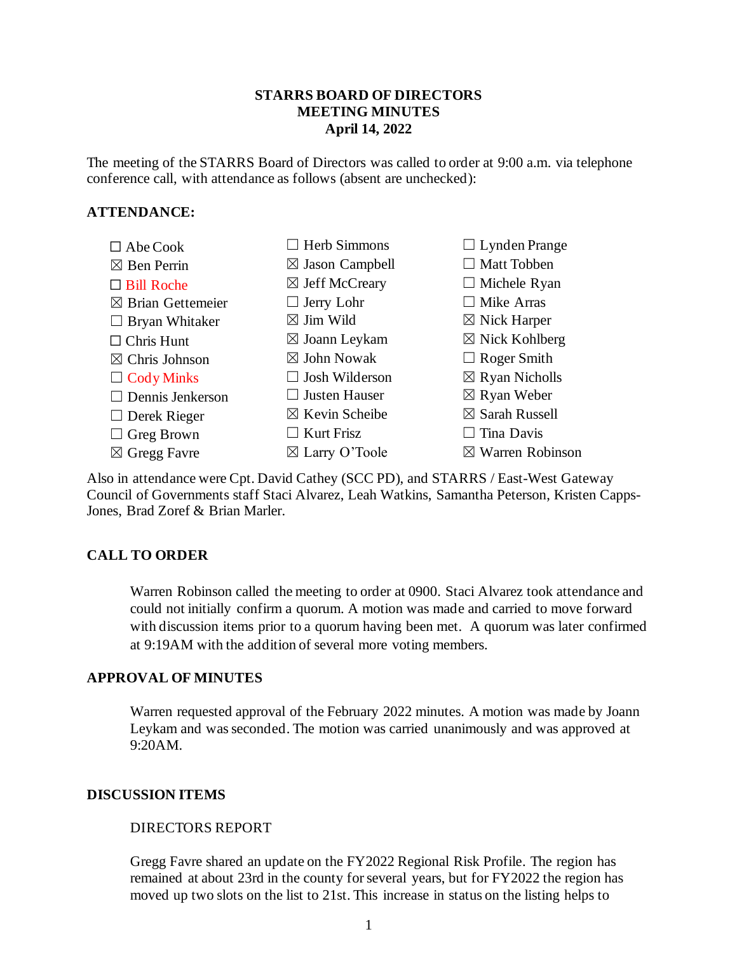#### **STARRS BOARD OF DIRECTORS MEETING MINUTES April 14, 2022**

The meeting of the STARRS Board of Directors was called to order at 9:00 a.m. via telephone conference call, with attendance as follows (absent are unchecked):

#### **ATTENDANCE:**



☒ Warren Robinson

Also in attendance were Cpt. David Cathey (SCC PD), and STARRS / East-West Gateway Council of Governments staff Staci Alvarez, Leah Watkins, Samantha Peterson, Kristen Capps-Jones, Brad Zoref & Brian Marler.

#### **CALL TO ORDER**

Warren Robinson called the meeting to order at 0900. Staci Alvarez took attendance and could not initially confirm a quorum. A motion was made and carried to move forward with discussion items prior to a quorum having been met. A quorum was later confirmed at 9:19AM with the addition of several more voting members.

#### **APPROVAL OF MINUTES**

Warren requested approval of the February 2022 minutes. A motion was made by Joann Leykam and was seconded. The motion was carried unanimously and was approved at 9:20AM.

#### **DISCUSSION ITEMS**

#### DIRECTORS REPORT

Gregg Favre shared an update on the FY2022 Regional Risk Profile. The region has remained at about 23rd in the county for several years, but for FY2022 the region has moved up two slots on the list to 21st. This increase in status on the listing helps to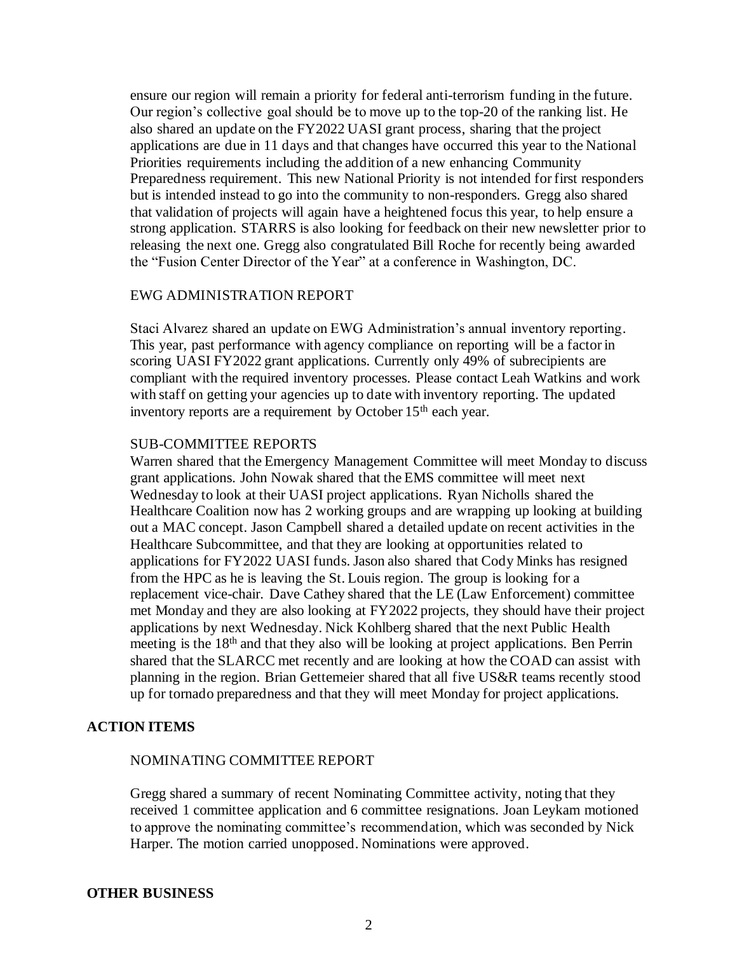ensure our region will remain a priority for federal anti-terrorism funding in the future. Our region's collective goal should be to move up to the top-20 of the ranking list. He also shared an update on the FY2022 UASI grant process, sharing that the project applications are due in 11 days and that changes have occurred this year to the National Priorities requirements including the addition of a new enhancing Community Preparedness requirement. This new National Priority is not intended for first responders but is intended instead to go into the community to non-responders. Gregg also shared that validation of projects will again have a heightened focus this year, to help ensure a strong application. STARRS is also looking for feedback on their new newsletter prior to releasing the next one. Gregg also congratulated Bill Roche for recently being awarded the "Fusion Center Director of the Year" at a conference in Washington, DC.

#### EWG ADMINISTRATION REPORT

Staci Alvarez shared an update on EWG Administration's annual inventory reporting. This year, past performance with agency compliance on reporting will be a factor in scoring UASI FY2022 grant applications. Currently only 49% of subrecipients are compliant with the required inventory processes. Please contact Leah Watkins and work with staff on getting your agencies up to date with inventory reporting. The updated inventory reports are a requirement by October  $15<sup>th</sup>$  each year.

#### SUB-COMMITTEE REPORTS

Warren shared that the Emergency Management Committee will meet Monday to discuss grant applications. John Nowak shared that the EMS committee will meet next Wednesday to look at their UASI project applications. Ryan Nicholls shared the Healthcare Coalition now has 2 working groups and are wrapping up looking at building out a MAC concept. Jason Campbell shared a detailed update on recent activities in the Healthcare Subcommittee, and that they are looking at opportunities related to applications for FY2022 UASI funds. Jason also shared that Cody Minks has resigned from the HPC as he is leaving the St. Louis region. The group is looking for a replacement vice-chair. Dave Cathey shared that the LE (Law Enforcement) committee met Monday and they are also looking at FY2022 projects, they should have their project applications by next Wednesday. Nick Kohlberg shared that the next Public Health meeting is the 18th and that they also will be looking at project applications. Ben Perrin shared that the SLARCC met recently and are looking at how the COAD can assist with planning in the region. Brian Gettemeier shared that all five US&R teams recently stood up for tornado preparedness and that they will meet Monday for project applications.

#### **ACTION ITEMS**

#### NOMINATING COMMITTEE REPORT

Gregg shared a summary of recent Nominating Committee activity, noting that they received 1 committee application and 6 committee resignations. Joan Leykam motioned to approve the nominating committee's recommendation, which was seconded by Nick Harper. The motion carried unopposed. Nominations were approved.

#### **OTHER BUSINESS**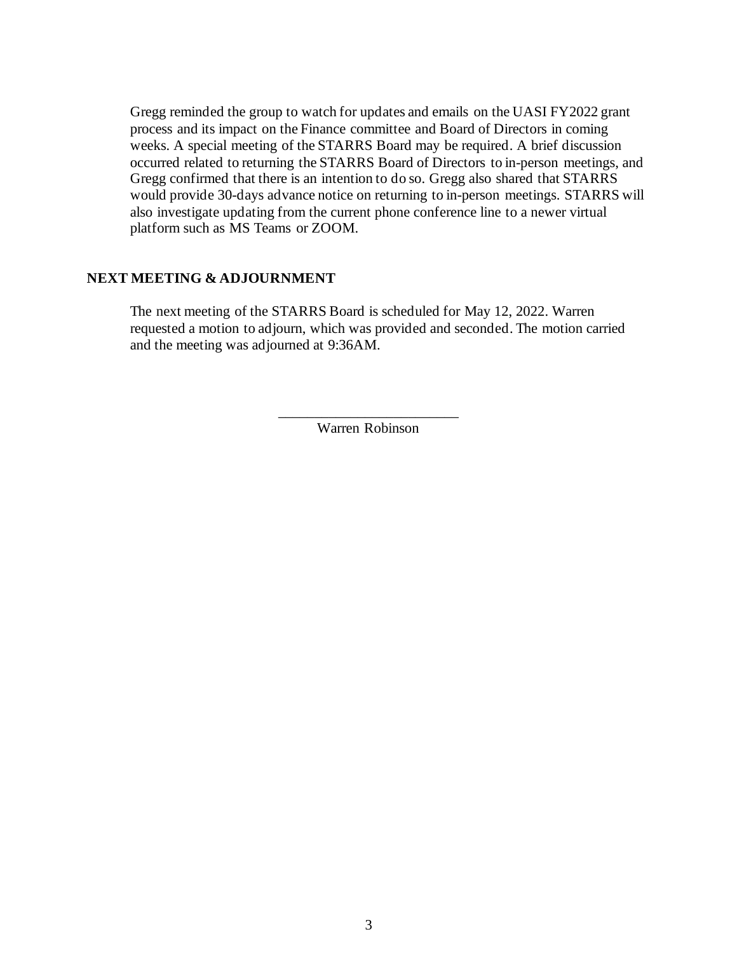Gregg reminded the group to watch for updates and emails on the UASI FY2022 grant process and its impact on the Finance committee and Board of Directors in coming weeks. A special meeting of the STARRS Board may be required. A brief discussion occurred related to returning the STARRS Board of Directors to in-person meetings, and Gregg confirmed that there is an intention to do so. Gregg also shared that STARRS would provide 30-days advance notice on returning to in-person meetings. STARRS will also investigate updating from the current phone conference line to a newer virtual platform such as MS Teams or ZOOM.

#### **NEXT MEETING & ADJOURNMENT**

The next meeting of the STARRS Board is scheduled for May 12, 2022. Warren requested a motion to adjourn, which was provided and seconded. The motion carried and the meeting was adjourned at 9:36AM.

> \_\_\_\_\_\_\_\_\_\_\_\_\_\_\_\_\_\_\_\_\_\_\_\_\_ Warren Robinson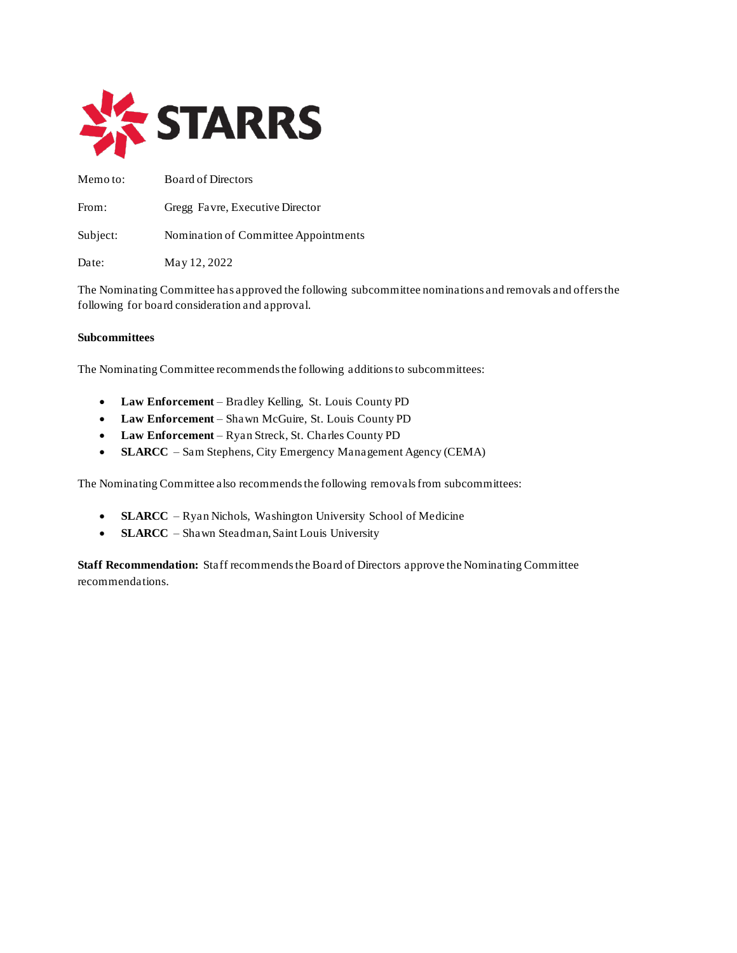

Memo to: Board of Directors From: Gregg Favre, Executive Director Subject: Nomination of Committee Appointments Date: May 12, 2022

The Nominating Committee has approved the following subcommittee nominations and removals and offers the following for board consideration and approval.

#### **Subcommittees**

The Nominating Committee recommends the following additions to subcommittees:

- **Law Enforcement** Bradley Kelling, St. Louis County PD
- **Law Enforcement** Shawn McGuire, St. Louis County PD
- **Law Enforcement** Ryan Streck, St. Charles County PD
- **SLARCC** Sam Stephens, City Emergency Management Agency (CEMA)

The Nominating Committee also recommends the following removals from subcommittees:

- **SLARCC** Ryan Nichols, Washington University School of Medicine
- **SLARCC** Shawn Steadman, Saint Louis University

**Staff Recommendation:** Staff recommends the Board of Directors approve the Nominating Committee recommendations.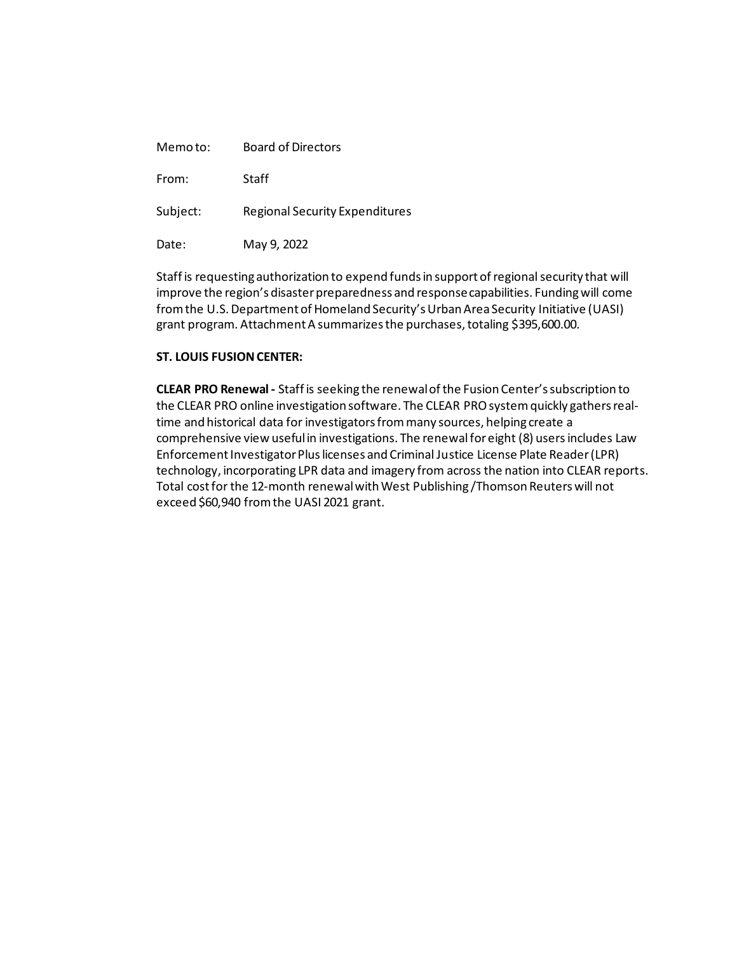| Memoto:  | <b>Board of Directors</b>             |
|----------|---------------------------------------|
| From:    | Staff                                 |
| Subject: | <b>Regional Security Expenditures</b> |
| Date:    | May 9, 2022                           |

Staff is requesting authorization to expend funds in support of regional security that will improve the region's disaster preparedness and response capabilities. Funding will come from the U.S. Department of Homeland Security's Urban Area Security Initiative (UASI) grant program. Attachment A summarizes the purchases, totaling \$395,600.00.

#### **ST. LOUIS FUSION CENTER:**

**CLEAR PRO Renewal -** Staff is seeking the renewal of the Fusion Center's subscription to the CLEAR PRO online investigation software. The CLEAR PRO system quickly gathers realtime and historical data for investigators from many sources, helping create a comprehensive view useful in investigations. The renewalfor eight (8) usersincludes Law Enforcement Investigator Plus licenses and Criminal Justice License Plate Reader (LPR) technology, incorporating LPR data and imagery from across the nation into CLEAR reports. Total cost for the 12-month renewal with West Publishing /Thomson Reuters will not exceed \$60,940 from the UASI 2021 grant.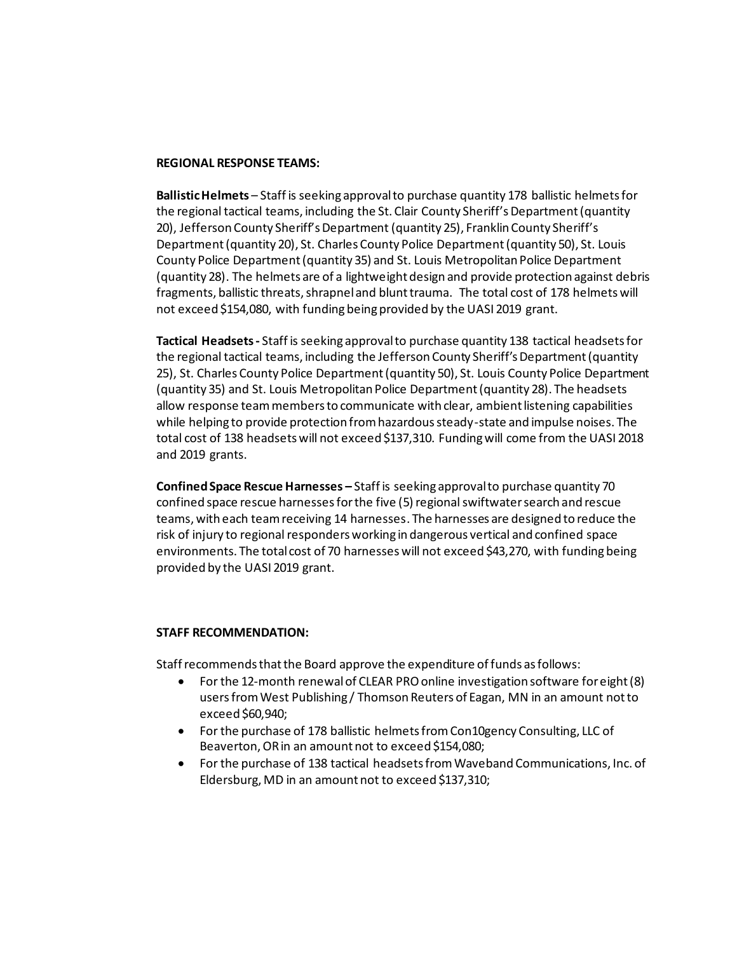#### **REGIONAL RESPONSE TEAMS:**

**Ballistic Helmets** – Staff is seeking approval to purchase quantity 178 ballistic helmets for the regional tactical teams, including the St. Clair County Sheriff's Department (quantity 20), Jefferson County Sheriff's Department (quantity 25), Franklin County Sheriff's Department (quantity 20), St. Charles County Police Department (quantity 50), St. Louis County Police Department (quantity 35) and St. Louis Metropolitan Police Department (quantity 28). The helmets are of a lightweight design and provide protection against debris fragments, ballistic threats, shrapnel and blunt trauma. The total cost of 178 helmets will not exceed \$154,080, with funding being provided by the UASI 2019 grant.

**Tactical Headsets -** Staff is seeking approval to purchase quantity 138 tactical headsets for the regional tactical teams, including the Jefferson County Sheriff's Department (quantity 25), St. Charles County Police Department (quantity 50), St. Louis County Police Department (quantity 35) and St. Louis Metropolitan Police Department (quantity 28). The headsets allow response team members to communicate with clear, ambient listening capabilities while helping to provide protection from hazardous steady-state and impulse noises. The total cost of 138 headsets will not exceed \$137,310. Funding will come from the UASI 2018 and 2019 grants.

**Confined Space Rescue Harnesses –** Staff is seeking approval to purchase quantity 70 confined space rescue harnesses for the five (5) regional swiftwater search and rescue teams, with each team receiving 14 harnesses. The harnesses are designed to reduce the risk of injury to regional responders working in dangerous vertical and confined space environments. The total cost of 70 harnesses will not exceed \$43,270, with funding being provided by the UASI 2019 grant.

#### **STAFF RECOMMENDATION:**

Staff recommends that the Board approve the expenditure of funds as follows:

- For the 12-month renewalof CLEAR PRO online investigation software for eight (8) users from West Publishing / Thomson Reuters of Eagan, MN in an amount not to exceed \$60,940;
- For the purchase of 178 ballistic helmets from Con10gency Consulting, LLC of Beaverton, OR in an amount not to exceed \$154,080;
- For the purchase of 138 tactical headsets from Waveband Communications, Inc. of Eldersburg, MD in an amount not to exceed \$137,310;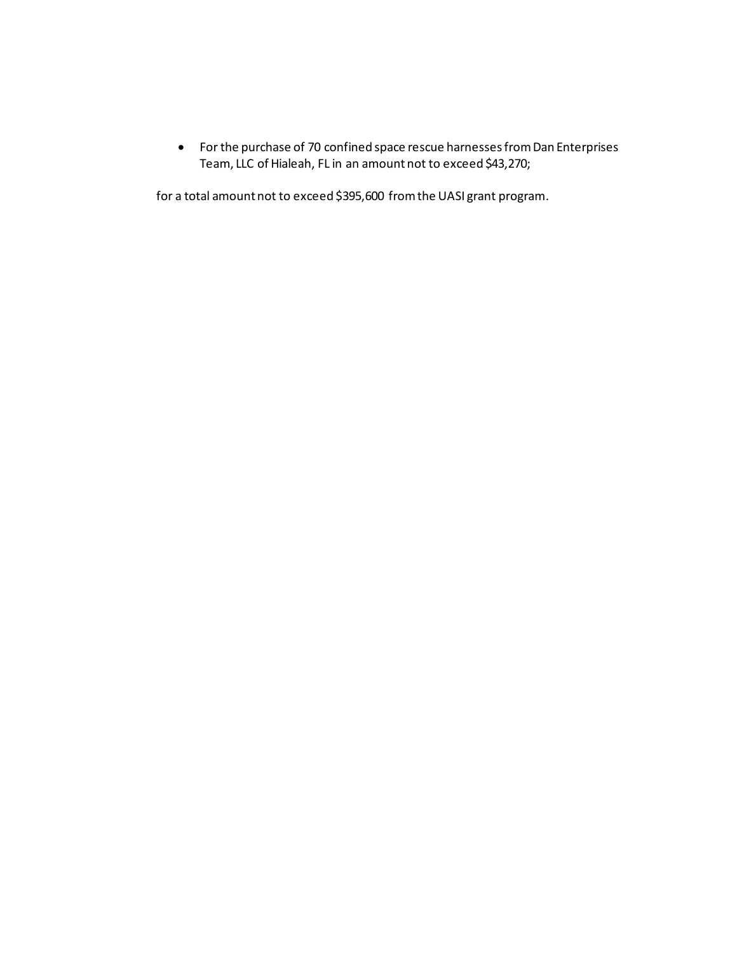• For the purchase of 70 confined space rescue harnesses from Dan Enterprises Team, LLC of Hialeah, FL in an amount not to exceed \$43,270;

for a total amount not to exceed \$395,600 from the UASI grant program.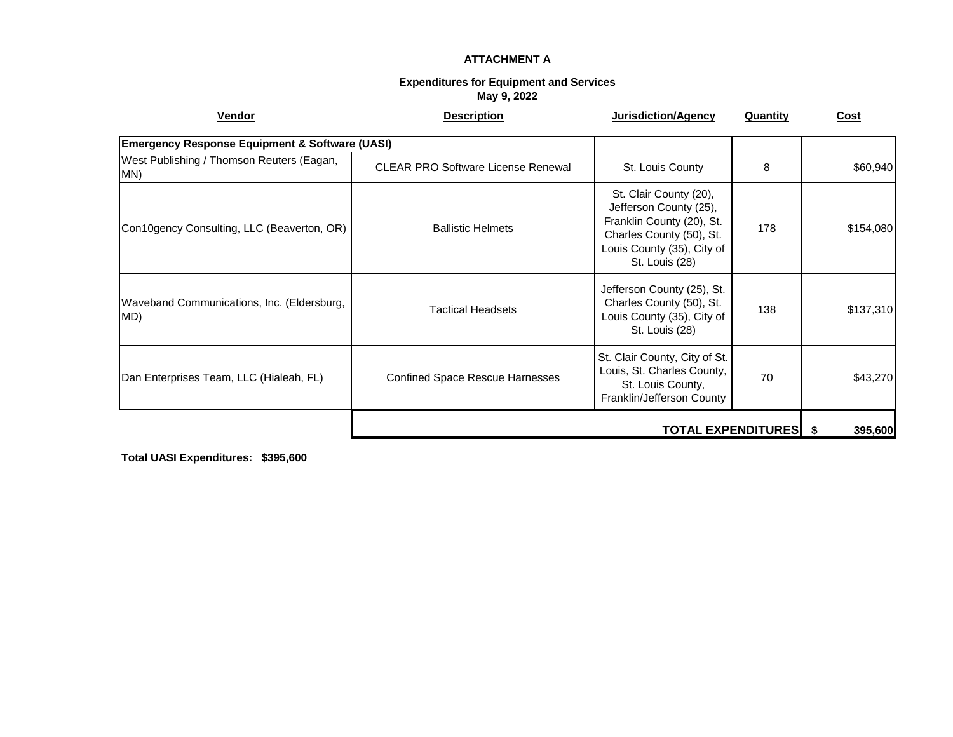#### **ATTACHMENT A**

#### **Expenditures for Equipment and Services May 9, 2022**

| Vendor                                                    | <b>Description</b>                        | Jurisdiction/Agency                                                                                                                                       | <b>Quantity</b> | <b>Cost</b> |
|-----------------------------------------------------------|-------------------------------------------|-----------------------------------------------------------------------------------------------------------------------------------------------------------|-----------------|-------------|
| <b>Emergency Response Equipment &amp; Software (UASI)</b> |                                           |                                                                                                                                                           |                 |             |
| West Publishing / Thomson Reuters (Eagan,<br>MN)          | <b>CLEAR PRO Software License Renewal</b> | St. Louis County                                                                                                                                          | 8               | \$60,940    |
| Con10gency Consulting, LLC (Beaverton, OR)                | <b>Ballistic Helmets</b>                  | St. Clair County (20),<br>Jefferson County (25),<br>Franklin County (20), St.<br>Charles County (50), St.<br>Louis County (35), City of<br>St. Louis (28) | 178             | \$154,080   |
| Waveband Communications, Inc. (Eldersburg,<br>MD)         | <b>Tactical Headsets</b>                  | Jefferson County (25), St.<br>Charles County (50), St.<br>Louis County (35), City of<br>St. Louis (28)                                                    | 138             | \$137,310   |
| Dan Enterprises Team, LLC (Hialeah, FL)                   | <b>Confined Space Rescue Harnesses</b>    | St. Clair County, City of St.<br>Louis, St. Charles County,<br>St. Louis County,<br>Franklin/Jefferson County                                             | 70              | \$43,270    |
| <b>TOTAL EXPENDITURES</b>                                 |                                           |                                                                                                                                                           | 395,600         |             |

**Total UASI Expenditures: \$395,600**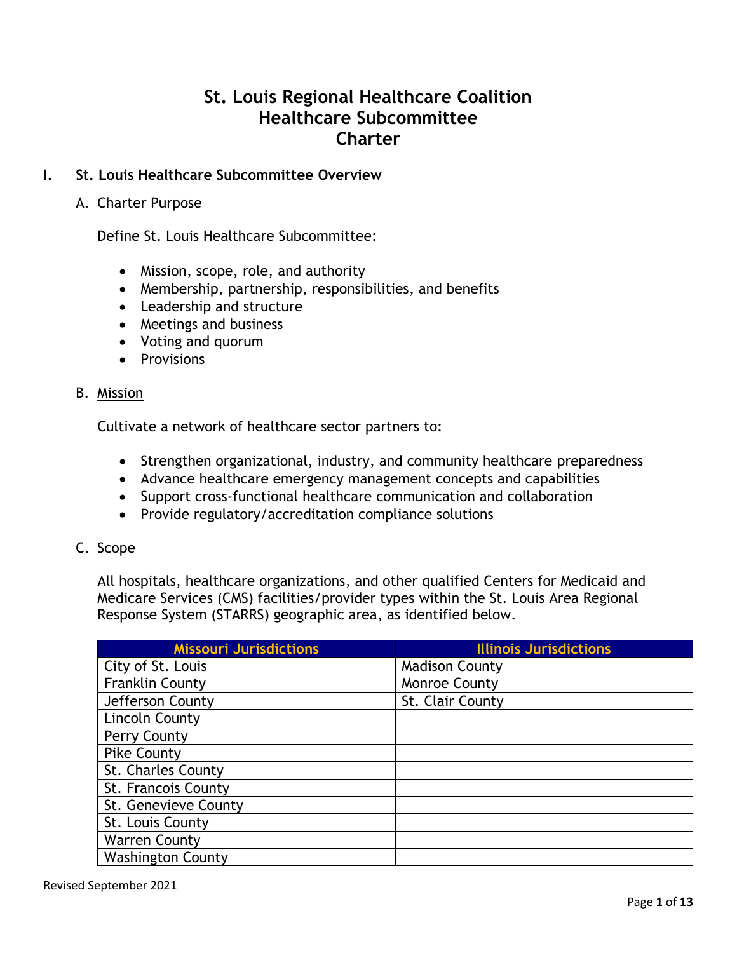# **St. Louis Regional Healthcare Coalition Healthcare Subcommittee Charter**

### **I. St. Louis Healthcare Subcommittee Overview**

### A. Charter Purpose

Define St. Louis Healthcare Subcommittee:

- Mission, scope, role, and authority
- Membership, partnership, responsibilities, and benefits
- Leadership and structure
- Meetings and business
- Voting and quorum
- Provisions

### B. Mission

Cultivate a network of healthcare sector partners to:

- Strengthen organizational, industry, and community healthcare preparedness
- Advance healthcare emergency management concepts and capabilities
- Support cross-functional healthcare communication and collaboration
- Provide regulatory/accreditation compliance solutions

### C. Scope

All hospitals, healthcare organizations, and other qualified Centers for Medicaid and Medicare Services (CMS) facilities/provider types within the St. Louis Area Regional Response System (STARRS) geographic area, as identified below.

| <b>Missouri Jurisdictions</b> | <b>Illinois Jurisdictions</b> |
|-------------------------------|-------------------------------|
| City of St. Louis             | <b>Madison County</b>         |
| <b>Franklin County</b>        | Monroe County                 |
| Jefferson County              | St. Clair County              |
| Lincoln County                |                               |
| Perry County                  |                               |
| <b>Pike County</b>            |                               |
| St. Charles County            |                               |
| St. Francois County           |                               |
| St. Genevieve County          |                               |
| St. Louis County              |                               |
| <b>Warren County</b>          |                               |
| <b>Washington County</b>      |                               |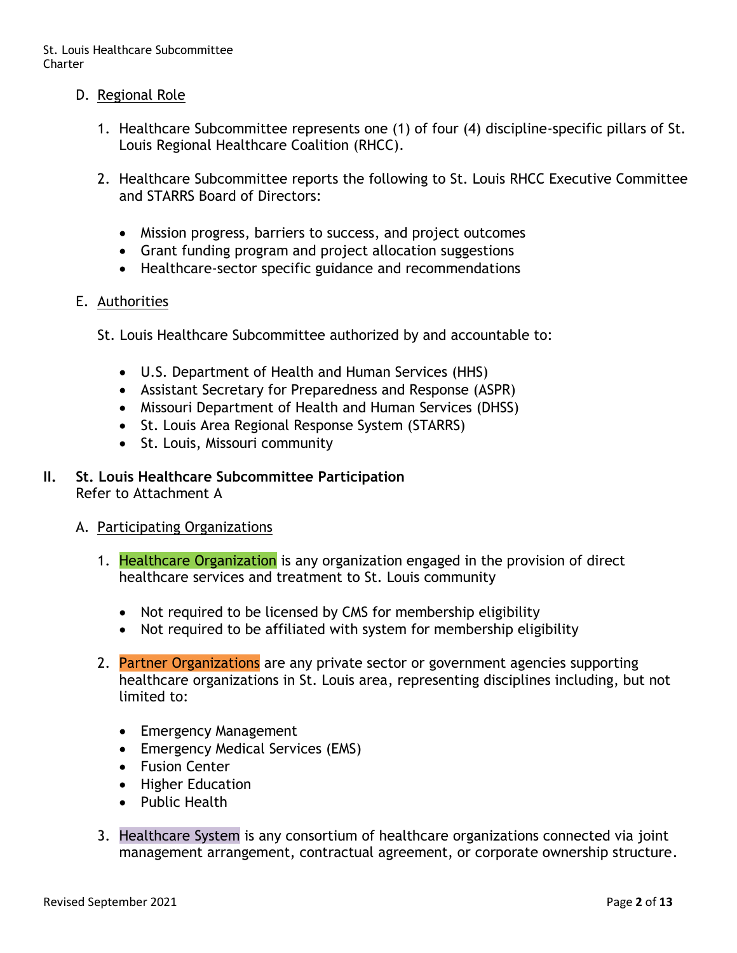- D. Regional Role
	- 1. Healthcare Subcommittee represents one (1) of four (4) discipline-specific pillars of St. Louis Regional Healthcare Coalition (RHCC).
	- 2. Healthcare Subcommittee reports the following to St. Louis RHCC Executive Committee and STARRS Board of Directors:
		- Mission progress, barriers to success, and project outcomes
		- Grant funding program and project allocation suggestions
		- Healthcare-sector specific guidance and recommendations

### E. Authorities

- St. Louis Healthcare Subcommittee authorized by and accountable to:
	- U.S. Department of Health and Human Services (HHS)
	- Assistant Secretary for Preparedness and Response (ASPR)
	- Missouri Department of Health and Human Services (DHSS)
	- St. Louis Area Regional Response System (STARRS)
	- St. Louis, Missouri community

#### **II. St. Louis Healthcare Subcommittee Participation** Refer to Attachment A

### A. Participating Organizations

- 1. Healthcare Organization is any organization engaged in the provision of direct healthcare services and treatment to St. Louis community
	- Not required to be licensed by CMS for membership eligibility
	- Not required to be affiliated with system for membership eligibility
- 2. Partner Organizations are any private sector or government agencies supporting healthcare organizations in St. Louis area, representing disciplines including, but not limited to:
	- Emergency Management
	- Emergency Medical Services (EMS)
	- Fusion Center
	- Higher Education
	- Public Health
- 3. Healthcare System is any consortium of healthcare organizations connected via joint management arrangement, contractual agreement, or corporate ownership structure.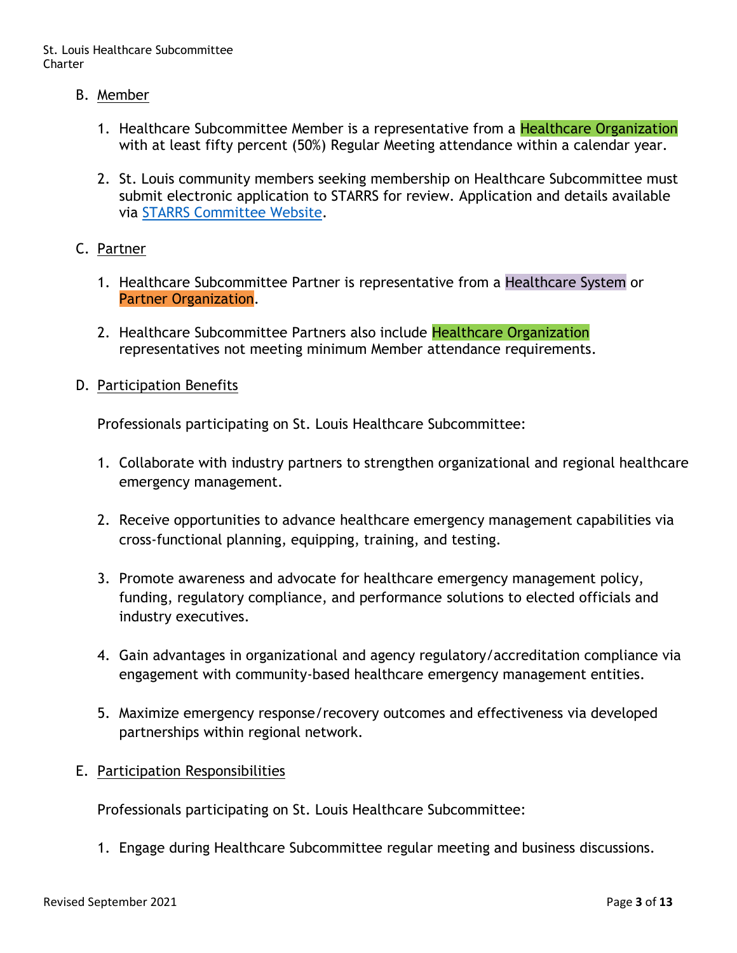- B. Member
	- 1. Healthcare Subcommittee Member is a representative from a Healthcare Organization with at least fifty percent (50%) Regular Meeting attendance within a calendar year.
	- 2. St. Louis community members seeking membership on Healthcare Subcommittee must submit electronic application to STARRS for review. Application and details available via [STARRS Committee Website.](https://www.stl-starrs.org/CommSignUp/commsignup.htm)

### C. Partner

- 1. Healthcare Subcommittee Partner is representative from a Healthcare System or Partner Organization.
- 2. Healthcare Subcommittee Partners also include Healthcare Organization representatives not meeting minimum Member attendance requirements.
- D. Participation Benefits

Professionals participating on St. Louis Healthcare Subcommittee:

- 1. Collaborate with industry partners to strengthen organizational and regional healthcare emergency management.
- 2. Receive opportunities to advance healthcare emergency management capabilities via cross-functional planning, equipping, training, and testing.
- 3. Promote awareness and advocate for healthcare emergency management policy, funding, regulatory compliance, and performance solutions to elected officials and industry executives.
- 4. Gain advantages in organizational and agency regulatory/accreditation compliance via engagement with community-based healthcare emergency management entities.
- 5. Maximize emergency response/recovery outcomes and effectiveness via developed partnerships within regional network.
- E. Participation Responsibilities

Professionals participating on St. Louis Healthcare Subcommittee:

1. Engage during Healthcare Subcommittee regular meeting and business discussions.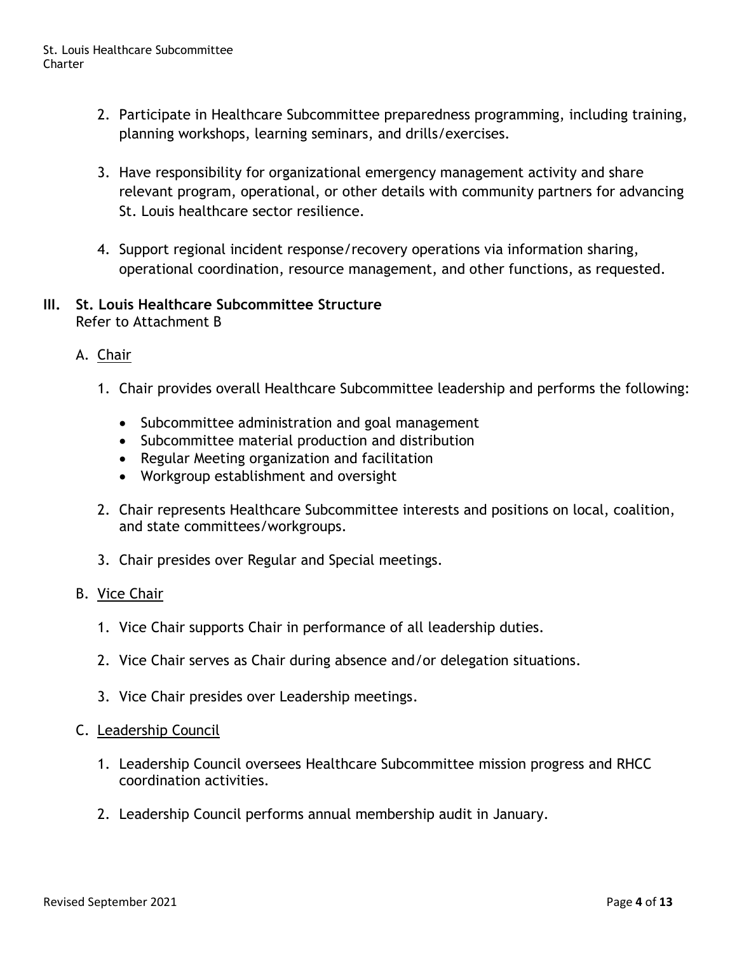- 2. Participate in Healthcare Subcommittee preparedness programming, including training, planning workshops, learning seminars, and drills/exercises.
- 3. Have responsibility for organizational emergency management activity and share relevant program, operational, or other details with community partners for advancing St. Louis healthcare sector resilience.
- 4. Support regional incident response/recovery operations via information sharing, operational coordination, resource management, and other functions, as requested.

### **III. St. Louis Healthcare Subcommittee Structure** Refer to Attachment B

- A. Chair
	- 1. Chair provides overall Healthcare Subcommittee leadership and performs the following:
		- Subcommittee administration and goal management
		- Subcommittee material production and distribution
		- Regular Meeting organization and facilitation
		- Workgroup establishment and oversight
	- 2. Chair represents Healthcare Subcommittee interests and positions on local, coalition, and state committees/workgroups.
	- 3. Chair presides over Regular and Special meetings.

### B. Vice Chair

- 1. Vice Chair supports Chair in performance of all leadership duties.
- 2. Vice Chair serves as Chair during absence and/or delegation situations.
- 3. Vice Chair presides over Leadership meetings.

### C. Leadership Council

- 1. Leadership Council oversees Healthcare Subcommittee mission progress and RHCC coordination activities.
- 2. Leadership Council performs annual membership audit in January.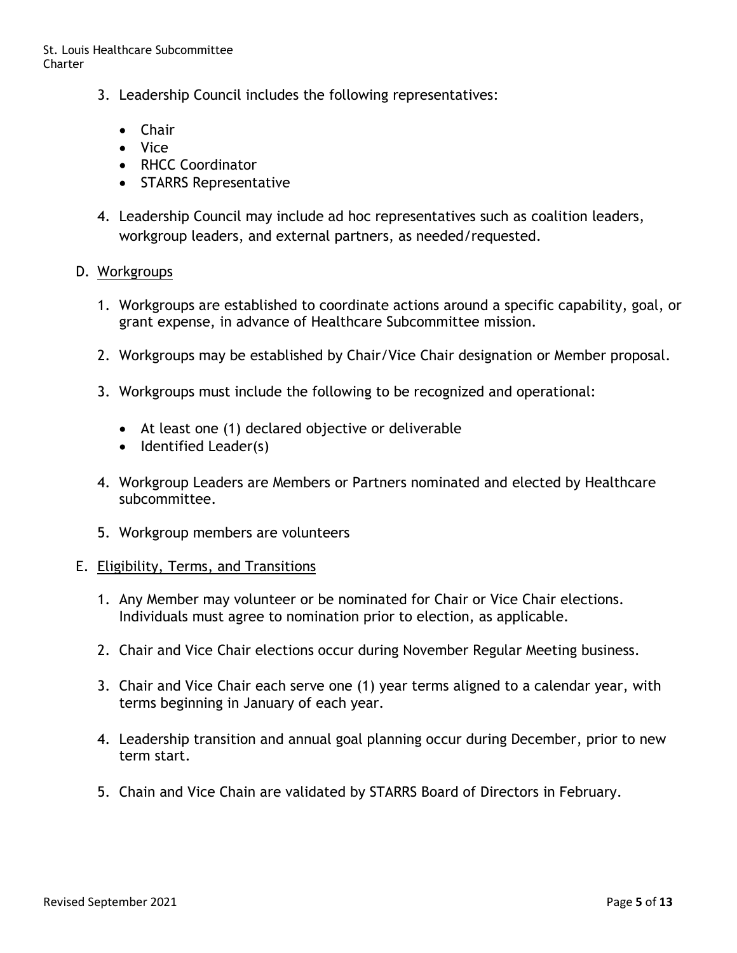- 3. Leadership Council includes the following representatives:
	- Chair
	- Vice
	- RHCC Coordinator
	- STARRS Representative
- 4. Leadership Council may include ad hoc representatives such as coalition leaders, workgroup leaders, and external partners, as needed/requested.

### D. Workgroups

- 1. Workgroups are established to coordinate actions around a specific capability, goal, or grant expense, in advance of Healthcare Subcommittee mission.
- 2. Workgroups may be established by Chair/Vice Chair designation or Member proposal.
- 3. Workgroups must include the following to be recognized and operational:
	- At least one (1) declared objective or deliverable
	- Identified Leader(s)
- 4. Workgroup Leaders are Members or Partners nominated and elected by Healthcare subcommittee.
- 5. Workgroup members are volunteers

#### E. Eligibility, Terms, and Transitions

- 1. Any Member may volunteer or be nominated for Chair or Vice Chair elections. Individuals must agree to nomination prior to election, as applicable.
- 2. Chair and Vice Chair elections occur during November Regular Meeting business.
- 3. Chair and Vice Chair each serve one (1) year terms aligned to a calendar year, with terms beginning in January of each year.
- 4. Leadership transition and annual goal planning occur during December, prior to new term start.
- 5. Chain and Vice Chain are validated by STARRS Board of Directors in February.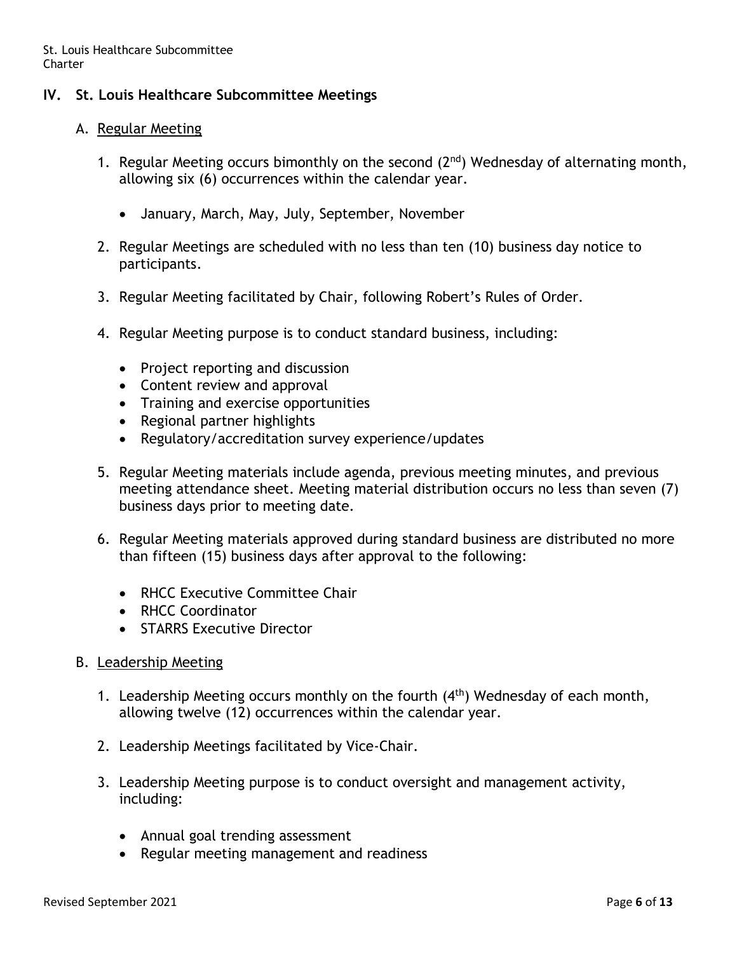### **IV. St. Louis Healthcare Subcommittee Meetings**

#### A. Regular Meeting

- 1. Regular Meeting occurs bimonthly on the second  $(2<sup>nd</sup>)$  Wednesday of alternating month, allowing six (6) occurrences within the calendar year.
	- January, March, May, July, September, November
- 2. Regular Meetings are scheduled with no less than ten (10) business day notice to participants.
- 3. Regular Meeting facilitated by Chair, following Robert's Rules of Order.
- 4. Regular Meeting purpose is to conduct standard business, including:
	- Project reporting and discussion
	- Content review and approval
	- Training and exercise opportunities
	- Regional partner highlights
	- Regulatory/accreditation survey experience/updates
- 5. Regular Meeting materials include agenda, previous meeting minutes, and previous meeting attendance sheet. Meeting material distribution occurs no less than seven (7) business days prior to meeting date.
- 6. Regular Meeting materials approved during standard business are distributed no more than fifteen (15) business days after approval to the following:
	- RHCC Executive Committee Chair
	- RHCC Coordinator
	- STARRS Executive Director
- B. Leadership Meeting
	- 1. Leadership Meeting occurs monthly on the fourth  $(4<sup>th</sup>)$  Wednesday of each month, allowing twelve (12) occurrences within the calendar year.
	- 2. Leadership Meetings facilitated by Vice-Chair.
	- 3. Leadership Meeting purpose is to conduct oversight and management activity, including:
		- Annual goal trending assessment
		- Regular meeting management and readiness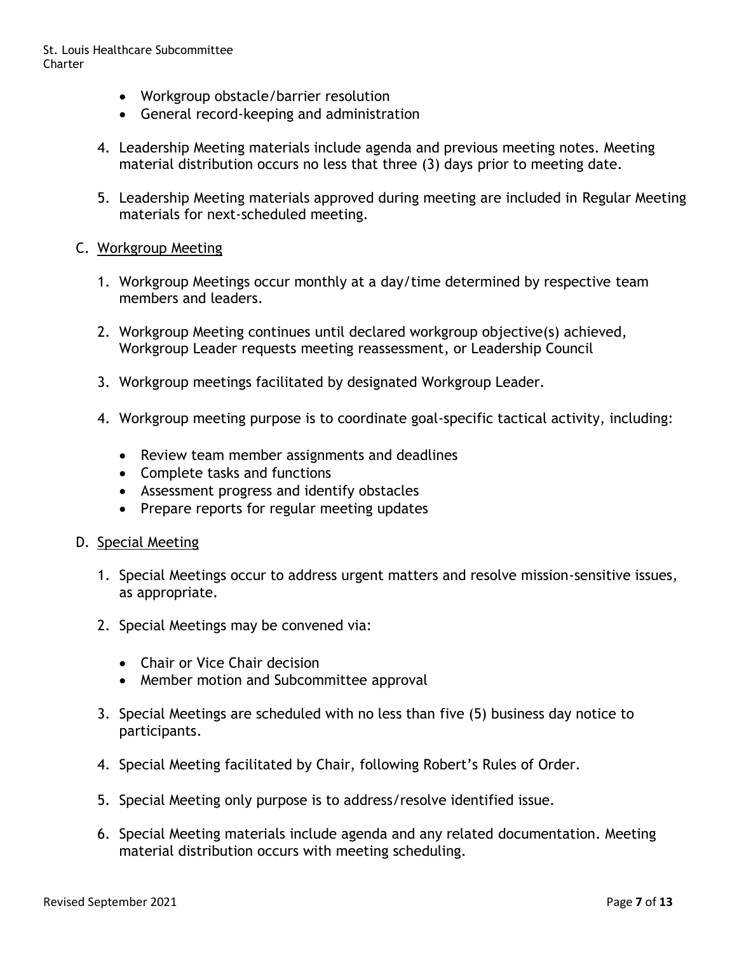- Workgroup obstacle/barrier resolution
- General record-keeping and administration
- 4. Leadership Meeting materials include agenda and previous meeting notes. Meeting material distribution occurs no less that three (3) days prior to meeting date.
- 5. Leadership Meeting materials approved during meeting are included in Regular Meeting materials for next-scheduled meeting.

### C. Workgroup Meeting

- 1. Workgroup Meetings occur monthly at a day/time determined by respective team members and leaders.
- 2. Workgroup Meeting continues until declared workgroup objective(s) achieved, Workgroup Leader requests meeting reassessment, or Leadership Council
- 3. Workgroup meetings facilitated by designated Workgroup Leader.
- 4. Workgroup meeting purpose is to coordinate goal-specific tactical activity, including:
	- Review team member assignments and deadlines
	- Complete tasks and functions
	- Assessment progress and identify obstacles
	- Prepare reports for regular meeting updates

#### D. Special Meeting

- 1. Special Meetings occur to address urgent matters and resolve mission-sensitive issues, as appropriate.
- 2. Special Meetings may be convened via:
	- Chair or Vice Chair decision
	- Member motion and Subcommittee approval
- 3. Special Meetings are scheduled with no less than five (5) business day notice to participants.
- 4. Special Meeting facilitated by Chair, following Robert's Rules of Order.
- 5. Special Meeting only purpose is to address/resolve identified issue.
- 6. Special Meeting materials include agenda and any related documentation. Meeting material distribution occurs with meeting scheduling.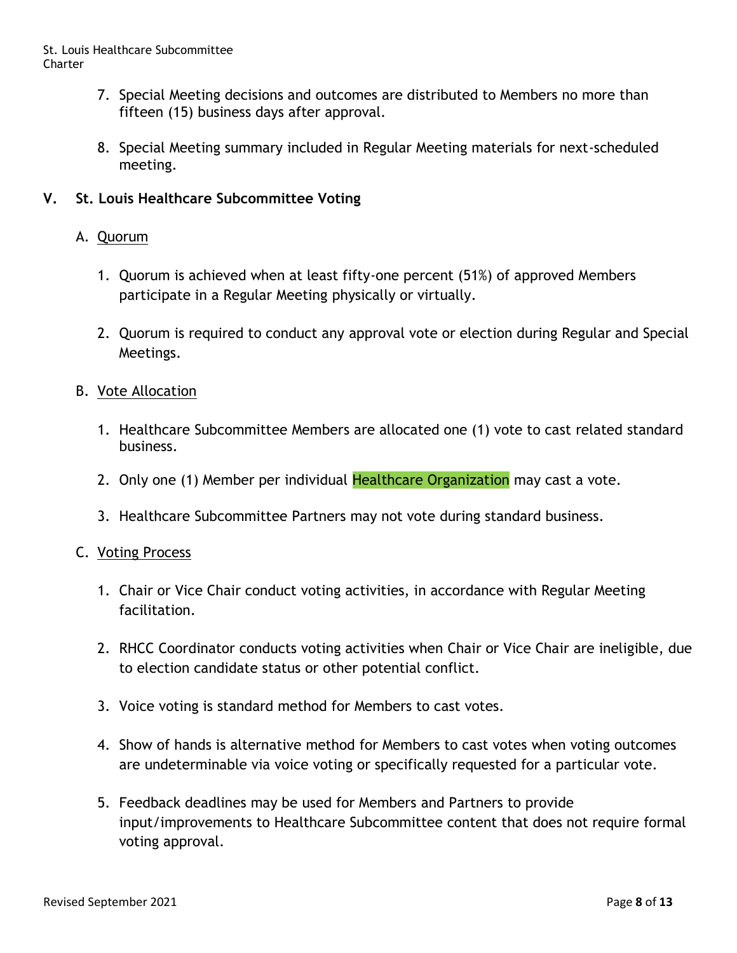- 7. Special Meeting decisions and outcomes are distributed to Members no more than fifteen (15) business days after approval.
- 8. Special Meeting summary included in Regular Meeting materials for next-scheduled meeting.

### **V. St. Louis Healthcare Subcommittee Voting**

### A. Quorum

- 1. Quorum is achieved when at least fifty-one percent (51%) of approved Members participate in a Regular Meeting physically or virtually.
- 2. Quorum is required to conduct any approval vote or election during Regular and Special Meetings.

### B. Vote Allocation

- 1. Healthcare Subcommittee Members are allocated one (1) vote to cast related standard business.
- 2. Only one (1) Member per individual Healthcare Organization may cast a vote.
- 3. Healthcare Subcommittee Partners may not vote during standard business.

### C. Voting Process

- 1. Chair or Vice Chair conduct voting activities, in accordance with Regular Meeting facilitation.
- 2. RHCC Coordinator conducts voting activities when Chair or Vice Chair are ineligible, due to election candidate status or other potential conflict.
- 3. Voice voting is standard method for Members to cast votes.
- 4. Show of hands is alternative method for Members to cast votes when voting outcomes are undeterminable via voice voting or specifically requested for a particular vote.
- 5. Feedback deadlines may be used for Members and Partners to provide input/improvements to Healthcare Subcommittee content that does not require formal voting approval.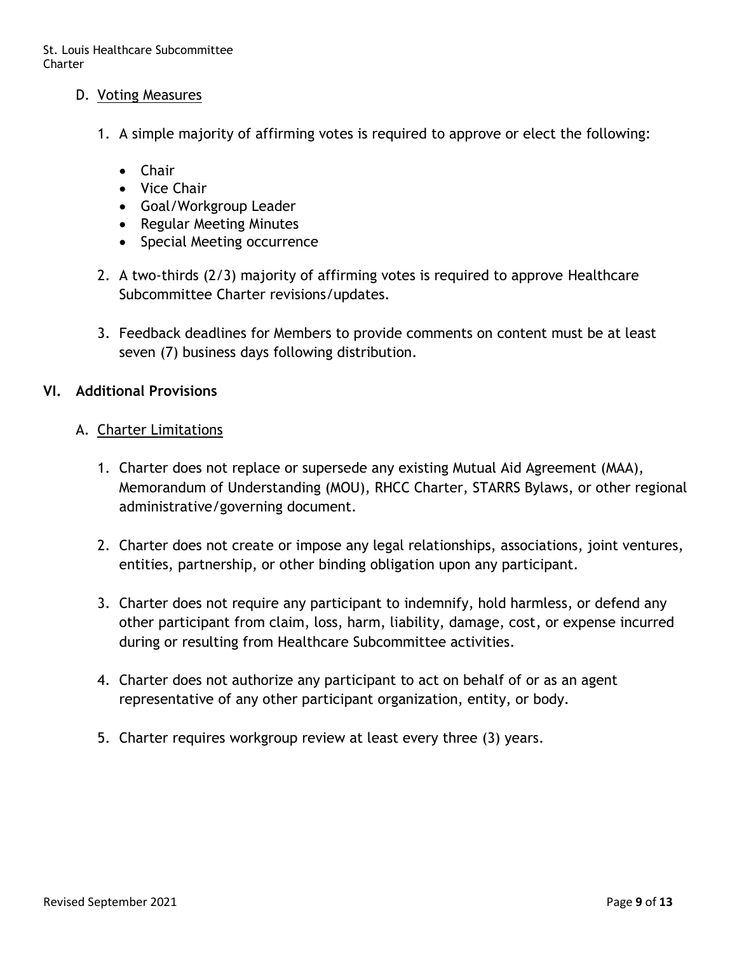- D. Voting Measures
	- 1. A simple majority of affirming votes is required to approve or elect the following:
		- Chair
		- Vice Chair
		- Goal/Workgroup Leader
		- Regular Meeting Minutes
		- Special Meeting occurrence
	- 2. A two-thirds (2/3) majority of affirming votes is required to approve Healthcare Subcommittee Charter revisions/updates.
	- 3. Feedback deadlines for Members to provide comments on content must be at least seven (7) business days following distribution.

### **VI. Additional Provisions**

### A. Charter Limitations

- 1. Charter does not replace or supersede any existing Mutual Aid Agreement (MAA), Memorandum of Understanding (MOU), RHCC Charter, STARRS Bylaws, or other regional administrative/governing document.
- 2. Charter does not create or impose any legal relationships, associations, joint ventures, entities, partnership, or other binding obligation upon any participant.
- 3. Charter does not require any participant to indemnify, hold harmless, or defend any other participant from claim, loss, harm, liability, damage, cost, or expense incurred during or resulting from Healthcare Subcommittee activities.
- 4. Charter does not authorize any participant to act on behalf of or as an agent representative of any other participant organization, entity, or body.
- 5. Charter requires workgroup review at least every three (3) years.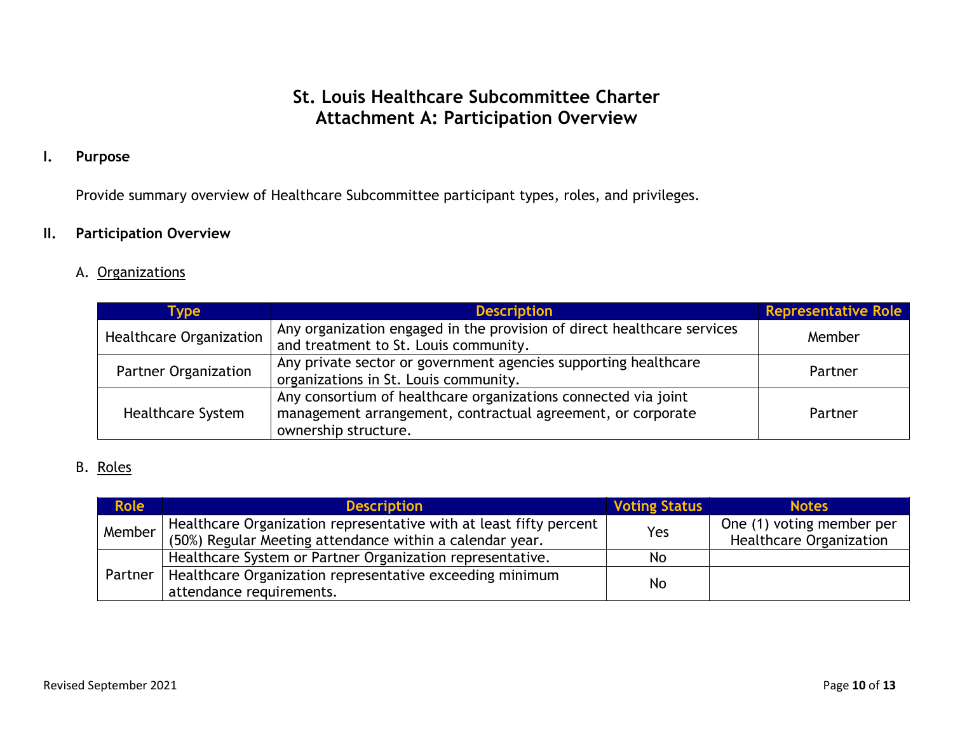# **St. Louis Healthcare Subcommittee Charter Attachment A: Participation Overview**

### **I. Purpose**

Provide summary overview of Healthcare Subcommittee participant types, roles, and privileges.

### **II. Participation Overview**

### A. Organizations

| <b>Type</b>                 | <b>Description</b>                                                                                                                                    | <b>Representative Role</b> |
|-----------------------------|-------------------------------------------------------------------------------------------------------------------------------------------------------|----------------------------|
| Healthcare Organization     | Any organization engaged in the provision of direct healthcare services<br>and treatment to St. Louis community.                                      | Member                     |
| <b>Partner Organization</b> | Any private sector or government agencies supporting healthcare<br>organizations in St. Louis community.                                              | Partner                    |
| <b>Healthcare System</b>    | Any consortium of healthcare organizations connected via joint<br>management arrangement, contractual agreement, or corporate<br>ownership structure. | Partner                    |

### B. Roles

| <b>Role</b> | <b>Description</b>                                                 | <b>Voting Status</b> | <b>Notes</b>                   |
|-------------|--------------------------------------------------------------------|----------------------|--------------------------------|
| Member      | Healthcare Organization representative with at least fifty percent | Yes                  | One (1) voting member per      |
|             | (50%) Regular Meeting attendance within a calendar year.           |                      | <b>Healthcare Organization</b> |
|             | Healthcare System or Partner Organization representative.          | No.                  |                                |
| Partner     | Healthcare Organization representative exceeding minimum           | No.                  |                                |
|             | attendance requirements.                                           |                      |                                |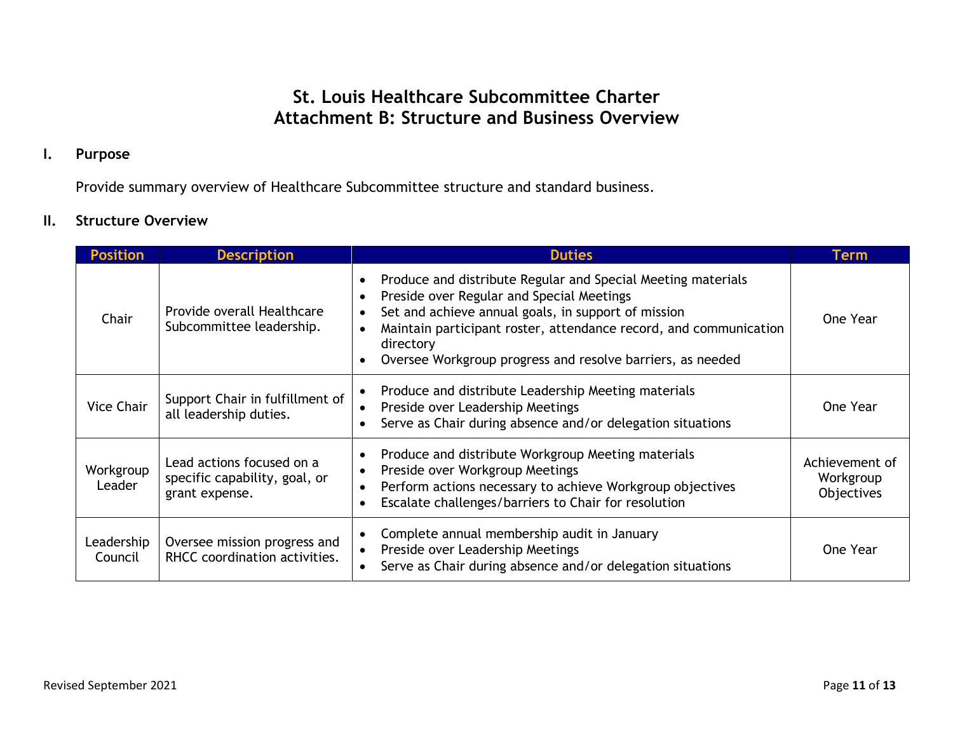# **St. Louis Healthcare Subcommittee Charter Attachment B: Structure and Business Overview**

### **I. Purpose**

Provide summary overview of Healthcare Subcommittee structure and standard business.

### **II. Structure Overview**

| <b>Position</b>       | <b>Description</b>                                                           | <b>Duties</b>                                                                                                                                                                                                                                                                                                                 | Term                                      |
|-----------------------|------------------------------------------------------------------------------|-------------------------------------------------------------------------------------------------------------------------------------------------------------------------------------------------------------------------------------------------------------------------------------------------------------------------------|-------------------------------------------|
| Chair                 | Provide overall Healthcare<br>Subcommittee leadership.                       | Produce and distribute Regular and Special Meeting materials<br>$\bullet$<br>Preside over Regular and Special Meetings<br>Set and achieve annual goals, in support of mission<br>Maintain participant roster, attendance record, and communication<br>directory<br>Oversee Workgroup progress and resolve barriers, as needed | One Year                                  |
| <b>Vice Chair</b>     | Support Chair in fulfillment of<br>all leadership duties.                    | Produce and distribute Leadership Meeting materials<br>Preside over Leadership Meetings<br>Serve as Chair during absence and/or delegation situations                                                                                                                                                                         | One Year                                  |
| Workgroup<br>Leader   | Lead actions focused on a<br>specific capability, goal, or<br>grant expense. | Produce and distribute Workgroup Meeting materials<br>Preside over Workgroup Meetings<br>Perform actions necessary to achieve Workgroup objectives<br>Escalate challenges/barriers to Chair for resolution                                                                                                                    | Achievement of<br>Workgroup<br>Objectives |
| Leadership<br>Council | Oversee mission progress and<br>RHCC coordination activities.                | Complete annual membership audit in January<br>Preside over Leadership Meetings<br>Serve as Chair during absence and/or delegation situations                                                                                                                                                                                 | One Year                                  |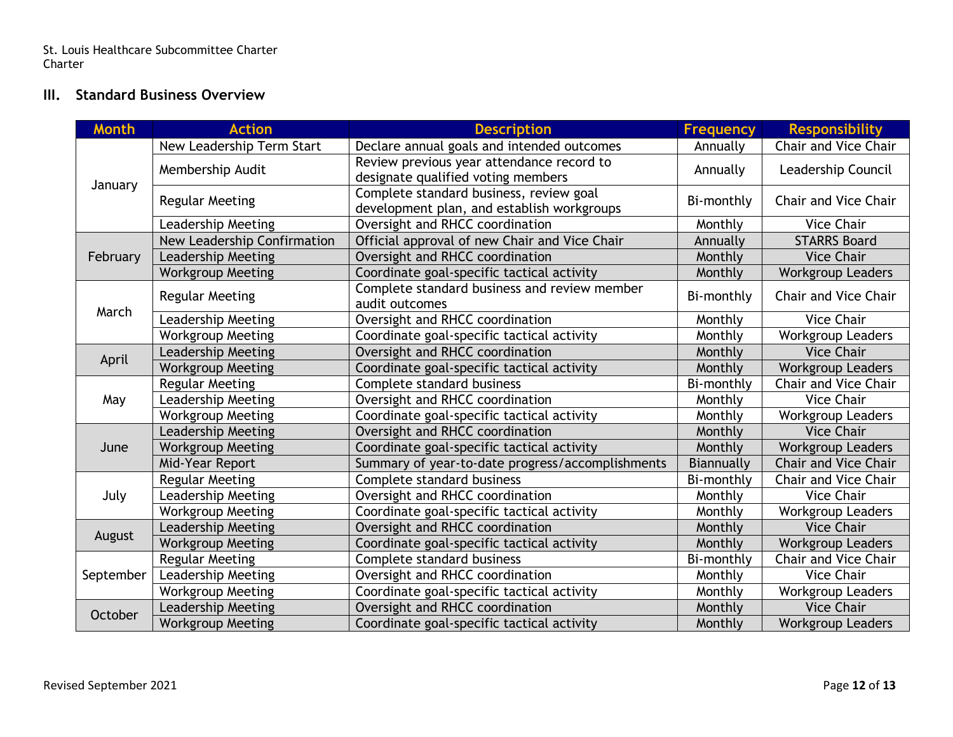St. Louis Healthcare Subcommittee Charter Charter

### **III. Standard Business Overview**

| <b>Month</b> | <b>Action</b>               | <b>Description</b>                                             | <b>Frequency</b>  | <b>Responsibility</b>       |
|--------------|-----------------------------|----------------------------------------------------------------|-------------------|-----------------------------|
| January      | New Leadership Term Start   | Declare annual goals and intended outcomes                     | Annually          | Chair and Vice Chair        |
|              | Membership Audit            | Review previous year attendance record to                      | Annually          | Leadership Council          |
|              |                             | designate qualified voting members                             |                   |                             |
|              | <b>Regular Meeting</b>      | Complete standard business, review goal                        | Bi-monthly        | <b>Chair and Vice Chair</b> |
|              |                             | development plan, and establish workgroups                     |                   |                             |
|              | <b>Leadership Meeting</b>   | Oversight and RHCC coordination                                | Monthly           | <b>Vice Chair</b>           |
|              | New Leadership Confirmation | Official approval of new Chair and Vice Chair                  | Annually          | <b>STARRS Board</b>         |
| February     | <b>Leadership Meeting</b>   | Oversight and RHCC coordination                                | Monthly           | <b>Vice Chair</b>           |
|              | <b>Workgroup Meeting</b>    | Coordinate goal-specific tactical activity                     | Monthly           | <b>Workgroup Leaders</b>    |
|              | <b>Regular Meeting</b>      | Complete standard business and review member<br>audit outcomes | Bi-monthly        | <b>Chair and Vice Chair</b> |
| March        | <b>Leadership Meeting</b>   | Oversight and RHCC coordination                                | Monthly           | <b>Vice Chair</b>           |
|              | <b>Workgroup Meeting</b>    | Coordinate goal-specific tactical activity                     | Monthly           | <b>Workgroup Leaders</b>    |
|              | <b>Leadership Meeting</b>   | Oversight and RHCC coordination                                | Monthly           | <b>Vice Chair</b>           |
| April        | <b>Workgroup Meeting</b>    | Coordinate goal-specific tactical activity                     | Monthly           | <b>Workgroup Leaders</b>    |
|              | <b>Regular Meeting</b>      | Complete standard business                                     | Bi-monthly        | Chair and Vice Chair        |
| May          | <b>Leadership Meeting</b>   | Oversight and RHCC coordination                                | Monthly           | <b>Vice Chair</b>           |
|              | <b>Workgroup Meeting</b>    | Coordinate goal-specific tactical activity                     | Monthly           | <b>Workgroup Leaders</b>    |
|              | <b>Leadership Meeting</b>   | Oversight and RHCC coordination                                | Monthly           | <b>Vice Chair</b>           |
| June         | <b>Workgroup Meeting</b>    | Coordinate goal-specific tactical activity                     | Monthly           | <b>Workgroup Leaders</b>    |
|              | Mid-Year Report             | Summary of year-to-date progress/accomplishments               | <b>Biannually</b> | <b>Chair and Vice Chair</b> |
|              | <b>Regular Meeting</b>      | Complete standard business                                     | Bi-monthly        | Chair and Vice Chair        |
| July         | <b>Leadership Meeting</b>   | Oversight and RHCC coordination                                | Monthly           | <b>Vice Chair</b>           |
|              | <b>Workgroup Meeting</b>    | Coordinate goal-specific tactical activity                     | Monthly           | <b>Workgroup Leaders</b>    |
|              | <b>Leadership Meeting</b>   | Oversight and RHCC coordination                                | Monthly           | <b>Vice Chair</b>           |
| August       | <b>Workgroup Meeting</b>    | Coordinate goal-specific tactical activity                     | Monthly           | <b>Workgroup Leaders</b>    |
| September    | <b>Regular Meeting</b>      | Complete standard business                                     | Bi-monthly        | Chair and Vice Chair        |
|              | <b>Leadership Meeting</b>   | Oversight and RHCC coordination                                | Monthly           | <b>Vice Chair</b>           |
|              | <b>Workgroup Meeting</b>    | Coordinate goal-specific tactical activity                     | Monthly           | <b>Workgroup Leaders</b>    |
| October      | Leadership Meeting          | Oversight and RHCC coordination                                | Monthly           | <b>Vice Chair</b>           |
|              | <b>Workgroup Meeting</b>    | Coordinate goal-specific tactical activity                     | Monthly           | <b>Workgroup Leaders</b>    |